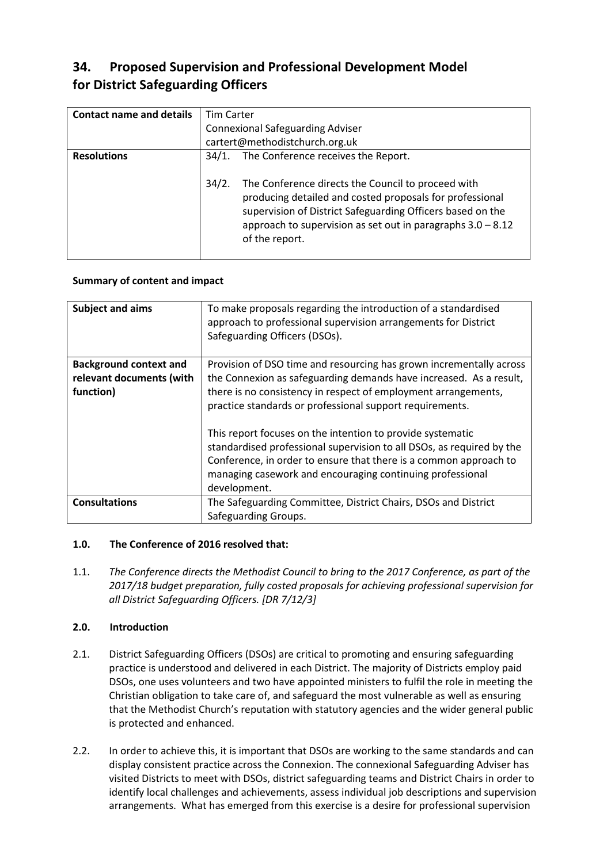# **34. Proposed Supervision and Professional Development Model for District Safeguarding Officers**

| <b>Contact name and details</b> | <b>Tim Carter</b>                       |                                                                                                                                                                                                                                                                 |
|---------------------------------|-----------------------------------------|-----------------------------------------------------------------------------------------------------------------------------------------------------------------------------------------------------------------------------------------------------------------|
|                                 | <b>Connexional Safeguarding Adviser</b> |                                                                                                                                                                                                                                                                 |
|                                 |                                         | cartert@methodistchurch.org.uk                                                                                                                                                                                                                                  |
| <b>Resolutions</b>              | 34/1.                                   | The Conference receives the Report.                                                                                                                                                                                                                             |
|                                 | 34/2.                                   | The Conference directs the Council to proceed with<br>producing detailed and costed proposals for professional<br>supervision of District Safeguarding Officers based on the<br>approach to supervision as set out in paragraphs $3.0 - 8.12$<br>of the report. |

### **Summary of content and impact**

| Subject and aims                                                       | To make proposals regarding the introduction of a standardised<br>approach to professional supervision arrangements for District<br>Safeguarding Officers (DSOs).                                                                                                                                                                                                                                                                                                                                                                                                |
|------------------------------------------------------------------------|------------------------------------------------------------------------------------------------------------------------------------------------------------------------------------------------------------------------------------------------------------------------------------------------------------------------------------------------------------------------------------------------------------------------------------------------------------------------------------------------------------------------------------------------------------------|
| <b>Background context and</b><br>relevant documents (with<br>function) | Provision of DSO time and resourcing has grown incrementally across<br>the Connexion as safeguarding demands have increased. As a result,<br>there is no consistency in respect of employment arrangements,<br>practice standards or professional support requirements.<br>This report focuses on the intention to provide systematic<br>standardised professional supervision to all DSOs, as required by the<br>Conference, in order to ensure that there is a common approach to<br>managing casework and encouraging continuing professional<br>development. |
| <b>Consultations</b>                                                   | The Safeguarding Committee, District Chairs, DSOs and District<br>Safeguarding Groups.                                                                                                                                                                                                                                                                                                                                                                                                                                                                           |

# **1.0. The Conference of 2016 resolved that:**

1.1. *The Conference directs the Methodist Council to bring to the 2017 Conference, as part of the 2017/18 budget preparation, fully costed proposals for achieving professional supervision for all District Safeguarding Officers. [DR 7/12/3]*

# **2.0. Introduction**

- 2.1. District Safeguarding Officers (DSOs) are critical to promoting and ensuring safeguarding practice is understood and delivered in each District. The majority of Districts employ paid DSOs, one uses volunteers and two have appointed ministers to fulfil the role in meeting the Christian obligation to take care of, and safeguard the most vulnerable as well as ensuring that the Methodist Church's reputation with statutory agencies and the wider general public is protected and enhanced.
- 2.2. In order to achieve this, it is important that DSOs are working to the same standards and can display consistent practice across the Connexion. The connexional Safeguarding Adviser has visited Districts to meet with DSOs, district safeguarding teams and District Chairs in order to identify local challenges and achievements, assess individual job descriptions and supervision arrangements. What has emerged from this exercise is a desire for professional supervision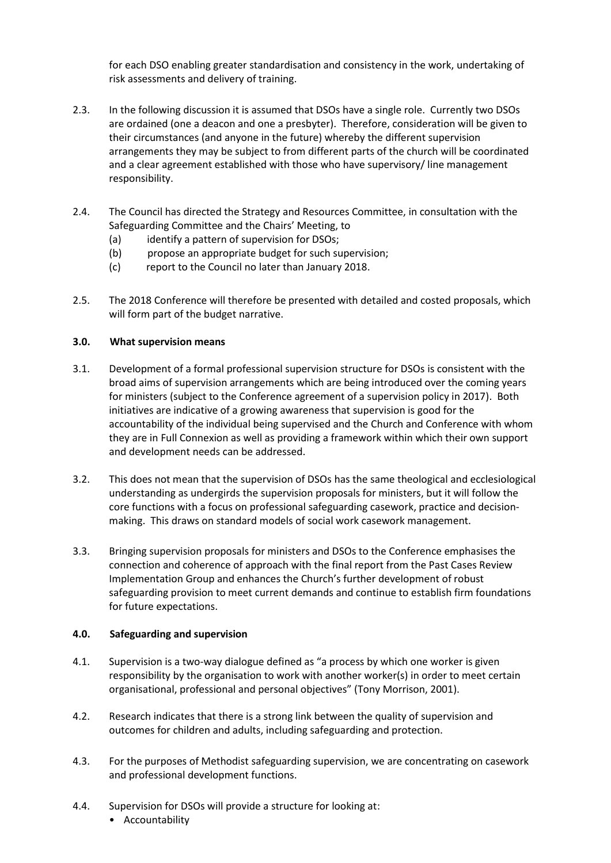for each DSO enabling greater standardisation and consistency in the work, undertaking of risk assessments and delivery of training.

- 2.3. In the following discussion it is assumed that DSOs have a single role. Currently two DSOs are ordained (one a deacon and one a presbyter). Therefore, consideration will be given to their circumstances (and anyone in the future) whereby the different supervision arrangements they may be subject to from different parts of the church will be coordinated and a clear agreement established with those who have supervisory/ line management responsibility.
- 2.4. The Council has directed the Strategy and Resources Committee, in consultation with the Safeguarding Committee and the Chairs' Meeting, to
	- (a) identify a pattern of supervision for DSOs;
	- (b) propose an appropriate budget for such supervision;
	- (c) report to the Council no later than January 2018.
- 2.5. The 2018 Conference will therefore be presented with detailed and costed proposals, which will form part of the budget narrative.

### **3.0. What supervision means**

- 3.1. Development of a formal professional supervision structure for DSOs is consistent with the broad aims of supervision arrangements which are being introduced over the coming years for ministers (subject to the Conference agreement of a supervision policy in 2017). Both initiatives are indicative of a growing awareness that supervision is good for the accountability of the individual being supervised and the Church and Conference with whom they are in Full Connexion as well as providing a framework within which their own support and development needs can be addressed.
- 3.2. This does not mean that the supervision of DSOs has the same theological and ecclesiological understanding as undergirds the supervision proposals for ministers, but it will follow the core functions with a focus on professional safeguarding casework, practice and decisionmaking. This draws on standard models of social work casework management.
- 3.3. Bringing supervision proposals for ministers and DSOs to the Conference emphasises the connection and coherence of approach with the final report from the Past Cases Review Implementation Group and enhances the Church's further development of robust safeguarding provision to meet current demands and continue to establish firm foundations for future expectations.

#### **4.0. Safeguarding and supervision**

- 4.1. Supervision is a two-way dialogue defined as "a process by which one worker is given responsibility by the organisation to work with another worker(s) in order to meet certain organisational, professional and personal objectives" (Tony Morrison, 2001).
- 4.2. Research indicates that there is a strong link between the quality of supervision and outcomes for children and adults, including safeguarding and protection.
- 4.3. For the purposes of Methodist safeguarding supervision, we are concentrating on casework and professional development functions.
- 4.4. Supervision for DSOs will provide a structure for looking at: • Accountability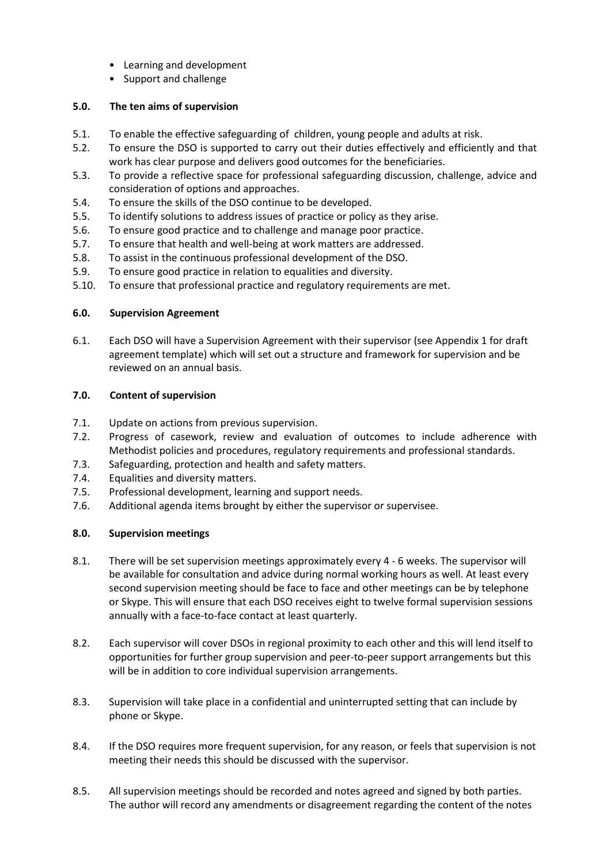- Learning and development
- Support and challenge

# **5.0. The ten aims of supervision**

- 5.1. To enable the effective safeguarding of children, young people and adults at risk.
- 5.2. To ensure the DSO is supported to carry out their duties effectively and efficiently and that work has clear purpose and delivers good outcomes for the beneficiaries.
- 5.3. To provide a reflective space for professional safeguarding discussion, challenge, advice and consideration of options and approaches.
- 5.4. To ensure the skills of the DSO continue to be developed.
- 5.5. To identify solutions to address issues of practice or policy as they arise.
- 5.6. To ensure good practice and to challenge and manage poor practice.
- 5.7. To ensure that health and well-being at work matters are addressed.
- 5.8. To assist in the continuous professional development of the DSO.
- 5.9. To ensure good practice in relation to equalities and diversity.
- 5.10. To ensure that professional practice and regulatory requirements are met.

# **6.0. Supervision Agreement**

6.1. Each DSO will have a Supervision Agreement with their supervisor (see Appendix 1 for draft agreement template) which will set out a structure and framework for supervision and be reviewed on an annual basis.

# **7.0. Content of supervision**

- 7.1. Update on actions from previous supervision.
- 7.2. Progress of casework, review and evaluation of outcomes to include adherence with Methodist policies and procedures, regulatory requirements and professional standards.
- 7.3. Safeguarding, protection and health and safety matters.
- 7.4. Equalities and diversity matters.
- 7.5. Professional development, learning and support needs.
- 7.6. Additional agenda items brought by either the supervisor or supervisee.

# **8.0. Supervision meetings**

- 8.1. There will be set supervision meetings approximately every 4 6 weeks. The supervisor will be available for consultation and advice during normal working hours as well. At least every second supervision meeting should be face to face and other meetings can be by telephone or Skype. This will ensure that each DSO receives eight to twelve formal supervision sessions annually with a face-to-face contact at least quarterly.
- 8.2. Each supervisor will cover DSOs in regional proximity to each other and this will lend itself to opportunities for further group supervision and peer-to-peer support arrangements but this will be in addition to core individual supervision arrangements.
- 8.3. Supervision will take place in a confidential and uninterrupted setting that can include by phone or Skype.
- 8.4. If the DSO requires more frequent supervision, for any reason, or feels that supervision is not meeting their needs this should be discussed with the supervisor.
- 8.5. All supervision meetings should be recorded and notes agreed and signed by both parties. The author will record any amendments or disagreement regarding the content of the notes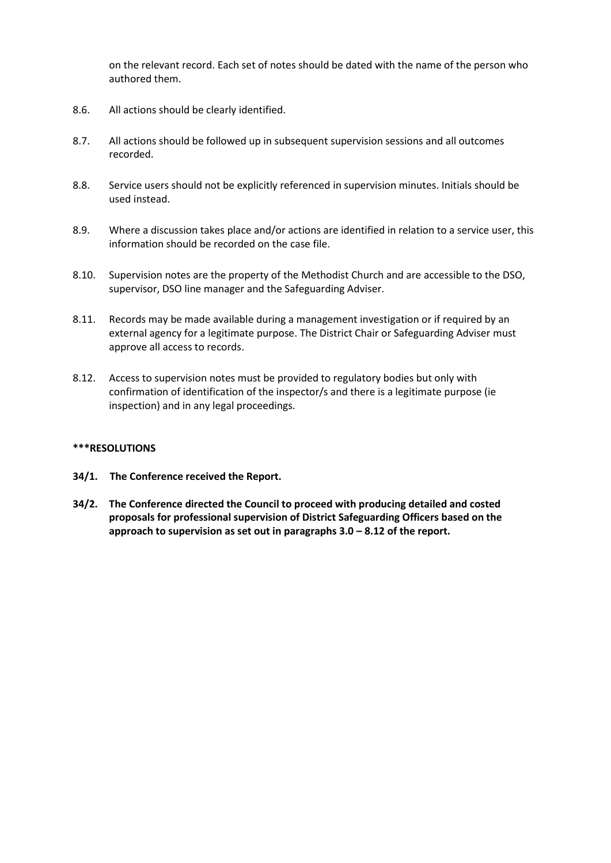on the relevant record. Each set of notes should be dated with the name of the person who authored them.

- 8.6. All actions should be clearly identified.
- 8.7. All actions should be followed up in subsequent supervision sessions and all outcomes recorded.
- 8.8. Service users should not be explicitly referenced in supervision minutes. Initials should be used instead.
- 8.9. Where a discussion takes place and/or actions are identified in relation to a service user, this information should be recorded on the case file.
- 8.10. Supervision notes are the property of the Methodist Church and are accessible to the DSO, supervisor, DSO line manager and the Safeguarding Adviser.
- 8.11. Records may be made available during a management investigation or if required by an external agency for a legitimate purpose. The District Chair or Safeguarding Adviser must approve all access to records.
- 8.12. Access to supervision notes must be provided to regulatory bodies but only with confirmation of identification of the inspector/s and there is a legitimate purpose (ie inspection) and in any legal proceedings.

#### **\*\*\*RESOLUTIONS**

- **34/1. The Conference received the Report.**
- **34/2. The Conference directed the Council to proceed with producing detailed and costed proposals for professional supervision of District Safeguarding Officers based on the approach to supervision as set out in paragraphs 3.0 – 8.12 of the report.**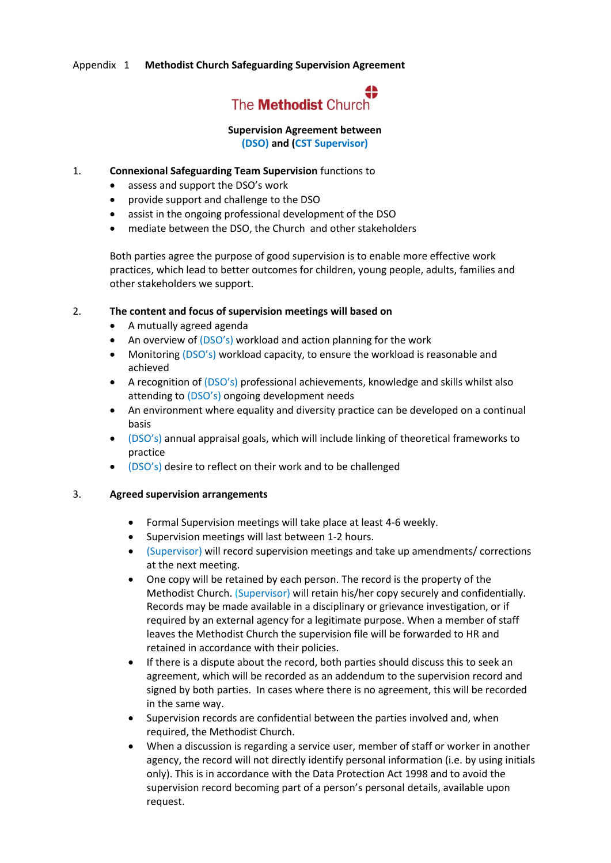### Appendix 1 **[Methodist](http://livelink.barnardos.org.uk/livelink91/livelink.exe?func=ll&objId=213428845&objAction=viewheader) Church Safeguarding Supervision Agreement**



### **Supervision Agreement between (DSO) and (CST Supervisor)**

- 1. **Connexional Safeguarding Team Supervision** functions to
	- assess and support the DSO's work
	- provide support and challenge to the DSO
	- assist in the ongoing professional development of the DSO
	- mediate between the DSO, the Church and other stakeholders

Both parties agree the purpose of good supervision is to enable more effective work practices, which lead to better outcomes for children, young people, adults, families and other stakeholders we support.

#### 2. **The content and focus of supervision meetings will based on**

- A mutually agreed agenda
- An overview of (DSO's) workload and action planning for the work
- Monitoring (DSO's) workload capacity, to ensure the workload is reasonable and achieved
- A recognition of (DSO's) professional achievements, knowledge and skills whilst also attending to (DSO's) ongoing development needs
- An environment where equality and diversity practice can be developed on a continual basis
- (DSO's) annual appraisal goals, which will include linking of theoretical frameworks to practice
- (DSO's) desire to reflect on their work and to be challenged

#### 3. **Agreed supervision arrangements**

- Formal Supervision meetings will take place at least 4-6 weekly.
- Supervision meetings will last between 1-2 hours.
- (Supervisor) will record supervision meetings and take up amendments/ corrections at the next meeting.
- One copy will be retained by each person. The record is the property of the Methodist Church. (Supervisor) will retain his/her copy securely and confidentially. Records may be made available in a disciplinary or grievance investigation, or if required by an external agency for a legitimate purpose. When a member of staff leaves the Methodist Church the supervision file will be forwarded to HR and retained in accordance with their policies.
- If there is a dispute about the record, both parties should discuss this to seek an agreement, which will be recorded as an addendum to the supervision record and signed by both parties. In cases where there is no agreement, this will be recorded in the same way.
- Supervision records are confidential between the parties involved and, when required, the Methodist Church.
- When a discussion is regarding a service user, member of staff or worker in another agency, the record will not directly identify personal information (i.e. by using initials only). This is in accordance with the Data Protection Act 1998 and to avoid the supervision record becoming part of a person's personal details, available upon request.